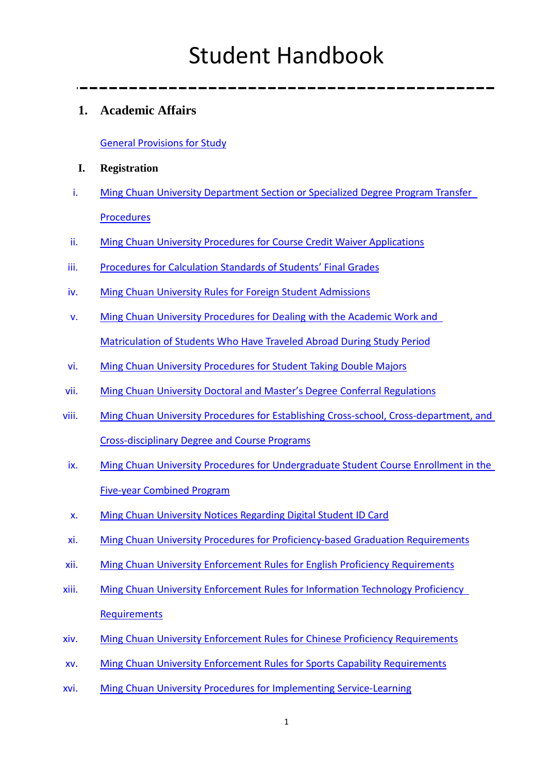## **1. Academic Affairs**

[General Provisions for Study](http://academic.mcu.edu.tw/sites/default/files/u22/%282017%29GeneralProvisionsforStudy-revised-LSE-revised.pdf)

#### **I. Registration**

- i. [Ming Chuan University Department Section or Specialized Degree Program Transfer](http://academic.mcu.edu.tw/sites/default/files/u22/MCU%20Department%20Section%20or%20Specialized%20Degree%20Program%20Transfer%20Procedures.pdf)  [Procedures](http://academic.mcu.edu.tw/sites/default/files/u22/MCU%20Department%20Section%20or%20Specialized%20Degree%20Program%20Transfer%20Procedures.pdf)
- ii. [Ming Chuan University Procedures for Course Credit Waiver Applications](http://academic.mcu.edu.tw/sites/default/files/u3/MCUProcedures%20for%20Course%20Credit%20Waiver%20Application-revised-LSE.pdf)
- iii. [Procedures for Calculation Standards of Students'](http://academic.mcu.edu.tw/sites/default/files/u3/Procedures%20for%20Calculation%20Standards%20of%20Students%27%20Final%20Grades.pdf) Final Grades
- iv. [Ming Chuan University Rules for Foreign Student Admissions](http://academic.mcu.edu.tw/sites/default/files/u22/Ming%20Chuan%20University%20Rules%20for%20Foreign%20Student%20Admissions-revised.pdf)
- v. [Ming Chuan University Procedures for Dealing with the Academic Work and](http://academic.mcu.edu.tw/sites/default/files/u3/2008%20June2%20Ming%20Chuan%20University%20Procedures%20for%20Dealing%20wih%20the%20Academic%20Work%20and%20Marticulation%20of%20Students%20Who%20Have%20Traveled%20Abroad%20During%20Study%20Period.pdf)  Matriculation [of Students Who Have Traveled Abroad During Study Period](http://academic.mcu.edu.tw/sites/default/files/u3/2008%20June2%20Ming%20Chuan%20University%20Procedures%20for%20Dealing%20wih%20the%20Academic%20Work%20and%20Marticulation%20of%20Students%20Who%20Have%20Traveled%20Abroad%20During%20Study%20Period.pdf)
- vi. [Ming Chuan University Procedures for Student Taking Double Majors](http://academic.mcu.edu.tw/sites/default/files/u22/%28July%204%2C%202017%29MCU%20Procedures%20for%20Students%20Taking%20Double%20Majors-revised-LSE.pdf)
- vii. [Ming Chuan University Doctoral and Master's Degree Conferral Regulations](http://academic.mcu.edu.tw/sites/default/files/u3/MCUDoctoralandMastersDegreeConferralRegulations-revised.pdf)
- viii. [Ming Chuan University Procedures for Establishing Cross-school, Cross-department, and](http://academic.mcu.edu.tw/sites/default/files/u22/MCU%20Procedures%20for%20Establishing%20Cross-school%2C%20Cross-department%2C%20and%20Cross-Disciplinary%20Degree%20and%20Course%20Programs.pdf)  [Cross-disciplinary Degree and Course Programs](http://academic.mcu.edu.tw/sites/default/files/u22/MCU%20Procedures%20for%20Establishing%20Cross-school%2C%20Cross-department%2C%20and%20Cross-Disciplinary%20Degree%20and%20Course%20Programs.pdf)
- ix. [Ming Chuan University Procedures for Undergraduate Student Course Enrollment in the](http://academic.mcu.edu.tw/sites/default/files/u22/9.%20MCU%20Procedures%20for%20Undergraduate%20Student%20Course%20Enrollment%20in%20the%20Five-year%20Combined%20Program-revised.pdf)  [Five-year Combined Program](http://academic.mcu.edu.tw/sites/default/files/u22/9.%20MCU%20Procedures%20for%20Undergraduate%20Student%20Course%20Enrollment%20in%20the%20Five-year%20Combined%20Program-revised.pdf)
- x. [Ming Chuan University Notices Regarding Digital Student ID](http://academic.mcu.edu.tw/sites/default/files/u22/MCU%20Notices%20Regarding%20Digital%20Student%20ID%20Card-revised2.pdf) Card
- xi. [Ming Chuan University Procedures for Proficiency-based Graduation Requirements](http://academic.mcu.edu.tw/sites/default/files/u3/MingChuanUniversityProceduresforProficiency-basedGraduationRequirements.pdf)
- xii. [Ming Chuan University Enforcement Rules for English Proficiency Requirements](http://academic.mcu.edu.tw/sites/default/files/u3/2016%20MCU%20Enforcement%20Rules%20for%20English%20Proficiency%20Requirements.pdf)
- xiii. [Ming Chuan University Enforcement Rules for Information Technology Proficiency](http://academic.mcu.edu.tw/sites/default/files/u22/MCU%20Enforcement%20Rules%20for%20Information%20Technology%20Proficiency%20Requirements-RE-revised.pdf)  **[Requirements](http://academic.mcu.edu.tw/sites/default/files/u22/MCU%20Enforcement%20Rules%20for%20Information%20Technology%20Proficiency%20Requirements-RE-revised.pdf)**
- xiv. [Ming Chuan University Enforcement Rules for Chinese Proficiency Requirements](http://academic.mcu.edu.tw/sites/default/files/u22/MCU%20Enforcement%20Rules%20for%20Chinese%20Proficiency%20Requirements-REVISED-LSE.pdf)
- xv. [Ming Chuan University Enforcement Rules for Sports Capability Requirements](http://academic.mcu.edu.tw/sites/default/files/u22/%28Sept.4%2C%202017%29MCU%20Enforcement%20Rules%20for%20Sports%20Capability%20Requirements-revised-LSE.pdf)
- xvi. [Ming Chuan University Procedures for Implementing Service-Learning](http://academic.mcu.edu.tw/sites/default/files/u3/MCU%20Procedures%20for%20Implementing%20Service%20Learning-revised_0.pdf)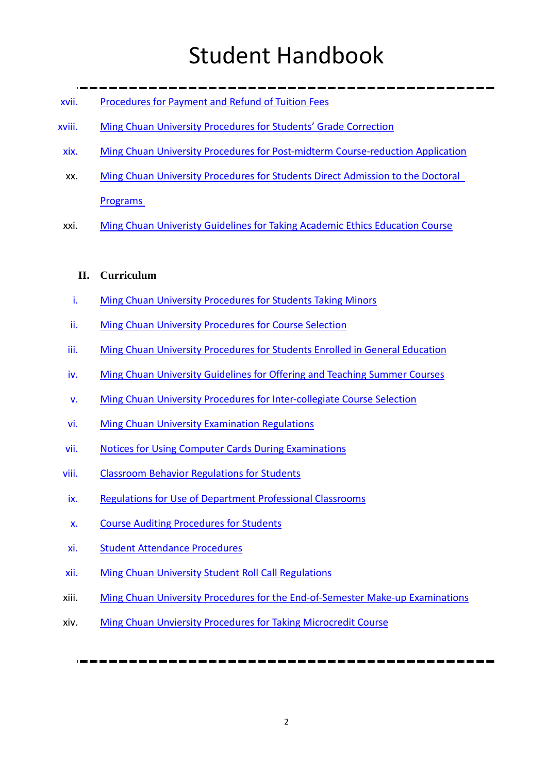- xvii. [Procedures for Payment and Refund of Tuition Fees](http://academic.mcu.edu.tw/sites/default/files/u3/Procedures%20for%20Payment%20and%20Refund%20of%20Tuition%20Fees.pdf)
- xviii. [Ming Chuan University Procedures for Students'](http://academic.mcu.edu.tw/sites/default/files/u3/2011Ming%20Chuan%20University%20Procedures%20for%20Students%20Grades%20Correction1213-revise.pdf) Grade Correction
- xix. Ming [Chuan University Procedures for Post-midterm Course-reduction Application](http://academic.mcu.edu.tw/sites/default/files/u3/19.%20MCU%20Procedures%20for%20Post-midterm%20Course-reduction%20Application-revised_0.pdf)
- xx. Ming Chuan [University Procedures for Students Direct Admission to the Doctoral](http://academic.mcu.edu.tw/sites/default/files/u3/MCU%20Procedures%20for%20Students%20Direct%20Admission%20to%20the%20Doctoral%20Programs-revised_0.pdf)  [Programs](http://academic.mcu.edu.tw/sites/default/files/u3/MCU%20Procedures%20for%20Students%20Direct%20Admission%20to%20the%20Doctoral%20Programs-revised_0.pdf)
- xxi. Ming Chuan Univeristy Guidelines [for Taking Academic Ethics Education Course](http://academic.mcu.edu.tw/sites/default/files/u22/MCU%20Guidelines%20for%20Taking%20Academic%20Ethics%20Education%20Course-revised.pdf)

#### **II. Curriculum**

- i. [Ming Chuan University Procedures for](http://academic.mcu.edu.tw/sites/default/files/u22/%28July%206%2C%202017%29MCU%20Procedures%20for%20Students%20Taking%20Minors-REVISED-LSE.pdf) Students Taking Minors
- ii. [Ming Chuan University Procedures for Course Selection](http://academic.mcu.edu.tw/sites/default/files/u3/MCU%20Procedures%20for%20Course%20Selection-revised_0.pdf)
- iii. [Ming Chuan University Procedures for Students Enrolled in General Education](http://academic.mcu.edu.tw/sites/default/files/u3/MCU%20Procedures%20for%20Students%20Enrolled%20in%20General%20Education-revised.pdf)
- iv. Ming Chuan University Guidelines [for Offering and Teaching Summer Courses](http://academic.mcu.edu.tw/sites/default/files/u3/MCU%20Guidelines%20for%20Offering%20and%20Teaching%20Summer%20Courses.pdf)
- v. [Ming Chuan University Procedures for Inter-collegiate Course Selection](http://academic.mcu.edu.tw/sites/default/files/u3/Ming%20Chuan%20University%20Procedures%20for%20Inter-collegiate%20Course%20Selection_0.pdf)
- vi. [Ming Chuan University Examination Regulations](http://academic.mcu.edu.tw/sites/default/files/u3/Ming%20Chuan%20University%20Examination%20Regulations_1.pdf)
- vii. [Notices for Using Computer Cards During Examinations](http://academic.mcu.edu.tw/sites/default/files/u3/Notices%20for%20Using%20Computer%20Cards%20During%20Examinations.pdf)
- viii. [Classroom Behavior Regulations for Students](http://academic.mcu.edu.tw/sites/default/files/u3/Classroom%20Behavior%20Regulations%20for%20Students.pdf)
- ix. [Regulations for Use of Department Professional Classrooms](http://academic.mcu.edu.tw/sites/default/files/u3/Regulations%20for%20Use%20of%20Department%20Professional.pdf)
- x. [Course Auditing Procedures for Students](http://academic.mcu.edu.tw/sites/default/files/u3/CourseAuditingProceduresforStudents.pdf)
- xi. [Student Attendance Procedures](http://academic.mcu.edu.tw/sites/default/files/u3/StudentAttendanceProcedures_0.pdf)
- xii. [Ming Chuan University Student Roll Call Regulations](http://academic.mcu.edu.tw/sites/default/files/u3/MCU%20Student%20Roll%20Call%20Regulations.pdf)
- xiii. [Ming Chuan University Procedures for the End-of-Semester Make-up Examinations](http://academic.mcu.edu.tw/sites/default/files/u3/MCU%20Procedures%20for%20the%20End%20of%20Semester%20Makeup%20Exam-revised.pdf)
- xiv. [Ming Chuan Unviersity Procedures for Taking Microcredit Course](http://academic.mcu.edu.tw/sites/default/files/u22/2017MCU%20Procedures%20for%20Taking%20Microcredit%20Course-revised.pdf)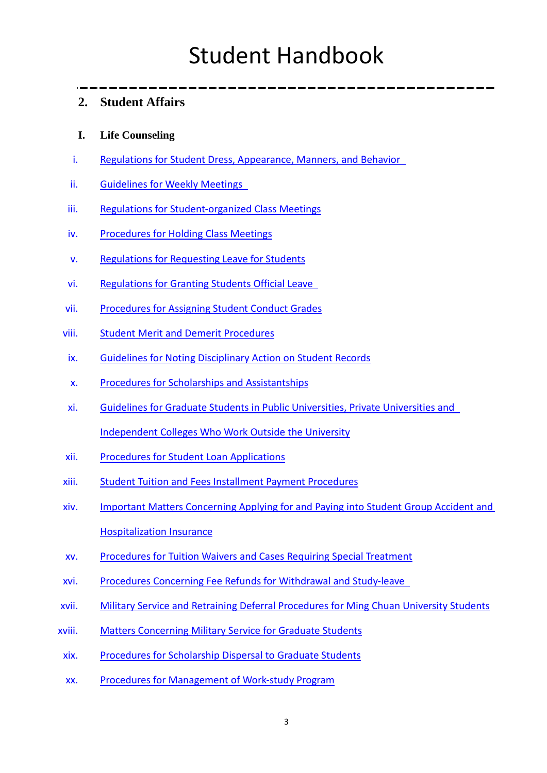## **2. Student Affairs**

#### **I. Life Counseling**

- i. [Regulations for Student Dress, Appearance, Manners, and Behavior](http://student.mcu.edu.tw/old/sites/default/files/u3/Standards%20for%20Students%27%20Dress%2C%20Appearance%2C%20Manners%2C%20and%20Behavior.pdf)
- ii. [Guidelines for Weekly Meetings](http://student.mcu.edu.tw/old/sites/default/files/u3/Provisions%20for%20Weekly%20Meetings.pdf)
- iii. [Regulations for Student-organized Class Meetings](http://student.mcu.edu.tw/old/sites/default/files/u3/Regulations%20for%20Student-organized%20Class%20Meetings.pdf)
- iv. [Procedures for Holding Class Meetings](http://student.mcu.edu.tw/old/sites/default/files/u3/%E9%8A%98%E5%82%B3%E5%A4%A7%E5%AD%B8%E7%8F%AD%E6%9C%83%E5%AF%A6%E6%96%BD%E8%BE%A6%E6%B3%95%28%E8%8B%B1%29-revised.pdf)
- v. [Regulations for Requesting Leave for Students](http://student.mcu.edu.tw/sites/default/files/u3/pdf/Requesting_Leaves.pdf)
- vi. [Regulations for Granting Students Official Leave](http://student.mcu.edu.tw/old/sites/default/files/u3/%E5%AD%B8%E7%94%9F%E5%85%AC%E5%81%87%E6%BA%96%E5%89%87---%E8%8B%B1%E6%96%87%E7%89%88.pdf)
- vii. [Procedures for Assigning Student Conduct Grades](http://student.mcu.edu.tw/old/sites/default/files/u3/%E6%93%8D%E8%A1%8C%E6%88%90%E7%B8%BE%E8%A9%95%E5%AE%9A%E8%BE%A6%E6%B3%95-%E8%8B%B1%E6%96%87%E7%89%88%20.pdf)
- viii. [Student Merit and Demerit Procedures](http://student.mcu.edu.tw/old/sites/default/files/u3/rules/SAS/%E5%AD%B8%E7%94%9F%E7%8D%8E%E6%87%B2%E8%BE%A6%E6%B3%95%28%E8%8B%B1%E6%96%87%E7%89%88%291030617-EC-revised%20.pdf)
- ix. [Guidelines for Noting Disciplinary Action on Student Records](http://student.mcu.edu.tw/old/sites/default/files/u3/Provisions%20Regarding%20Noting%20Disciplinary%20Action%20on%20Student%20Records.pdf)
- x. [Procedures for Scholarships and Assistantships](http://student.mcu.edu.tw/old/sites/default/files/u3/Procedures%20for%20Scholarships%20and%20Assistantships.pdf)
- xi. [Guidelines for Graduate Students in Public Universities, Private Universities and](http://student.mcu.edu.tw/old/sites/default/files/u3/Provisions%20Concerning%20Graduate%20Students%20in%20Public%20Universitities%2C%20Private%20Universities%20and%20Independent%20Colleges%20Who%20Work%20Outside%20the%20Univerity.pdf)  [Independent Colleges Who Work Outside the University](http://student.mcu.edu.tw/old/sites/default/files/u3/Provisions%20Concerning%20Graduate%20Students%20in%20Public%20Universitities%2C%20Private%20Universities%20and%20Independent%20Colleges%20Who%20Work%20Outside%20the%20Univerity.pdf)
- xii. [Procedures for Student Loan Applications](http://student.mcu.edu.tw/old/sites/default/files/u3/Procedures%20for%20Student%20Loan%20Applications.pdf)
- xiii. [Student Tuition and Fees Installment Payment Procedures](http://student.mcu.edu.tw/old/sites/default/files/u3/Student%20Tuition%20and%20Fees%20Installment%20Payment%20Procedures.pdf)
- xiv. [Important Matters Concerning Applying for and Paying into Student Group Accident and](http://student.mcu.edu.tw/old/sites/default/files/u3/Important%20Matters%20Concerning%20Applying%20for%20and%20Paying%20Into%20Student%20Group%20Accident%20and%20Hospitalization%20Insurance.pdf)  [Hospitalization Insurance](http://student.mcu.edu.tw/old/sites/default/files/u3/Important%20Matters%20Concerning%20Applying%20for%20and%20Paying%20Into%20Student%20Group%20Accident%20and%20Hospitalization%20Insurance.pdf)
- xv. [Procedures for Tuition Waivers and Cases Requiring Special Treatment](http://student.mcu.edu.tw/old/sites/default/files/u3/Procedures%20for%20Tuition%20Wavers%20and%20Cases%20Requiring%20Special%20Treatment.pdf)
- xvi. [Procedures Concerning Fee Refunds for Withdrawal and Study-leave](http://student.mcu.edu.tw/old/sites/default/files/u3/Procedures%20Concerning%20Fee%20Refunds%20for%20Withdrawal%20and%20Study-leave.pdf)
- xvii. [Military Service and Retraining Deferral Procedures for Ming Chuan University Students](http://student.mcu.edu.tw/old/sites/default/files/u3/Military%20Service%20and%20Retraining%20Deferral%20Procedures%20for%20MCU%20Students.pdf)
- xviii. [Matters Concerning Military Service for Graduate Students](http://student.mcu.edu.tw/old/sites/default/files/u3/Military%20Service%20and%20Retraining%20Deferral%20Procedures%20for%20MCU%20Students.pdf)
- xix. [Procedures for Scholarship Dispersal to Graduate Students](http://student.mcu.edu.tw/old/sites/default/files/u3/Procedures%20for%20Scholarship%20Dispersal%20to%20Graduate%20Students.pdf)
- xx. [Procedures for Management of Work-study Program](http://student.mcu.edu.tw/old/sites/default/files/u3/Procedures%20for%20Management%20of%20Work-study%20Program.pdf)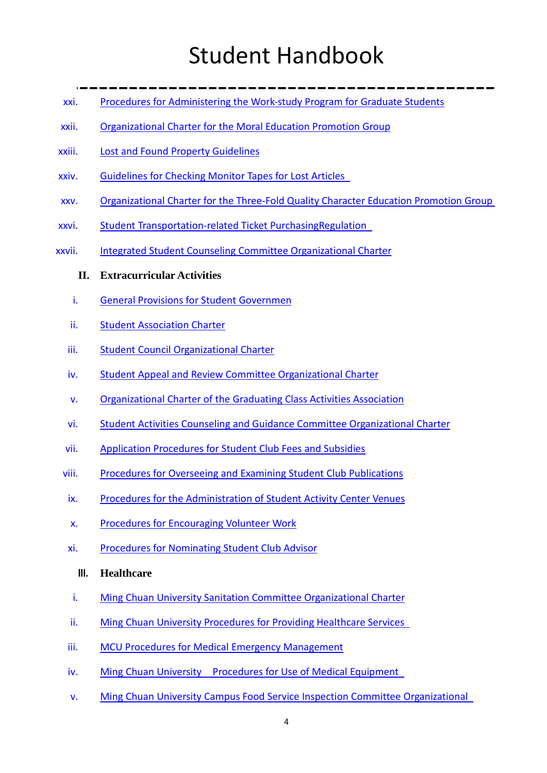- xxi. [Procedures for Administering the Work-study Program for Graduate Students](http://student.mcu.edu.tw/old/sites/default/files/u3/Procedures%20for%20Administering%20the%20Work-study%20Program%20for%20Graduate%20Students.pdf)
- xxii. [Organizational Charter for the Moral Education Promotion Group](http://student.mcu.edu.tw/old/sites/default/files/u3/Organizational%20Charter%20for%20the%20Moral%20Education%20Promotion%20Group.pdf)
- xxiii. [Lost and Found Property Guidelines](http://student.mcu.edu.tw/old/sites/default/files/u3/103%E5%A4%B1%E7%89%A9%E6%8B%9B%E9%A0%98%E8%8B%B1%E6%96%87%E7%89%88.pdf)
- xxiv. [Guidelines for Checking Monitor Tapes for Lost Articles](http://student.mcu.edu.tw/old/sites/default/files/u3/Guidelines%20for%20Checking%20Monitor%20Tapes%20for%20Lost%20Articles.pdf)
- xxv. [Organizational Charter for the Three-Fold Quality Character Education Promotion Group](http://student.mcu.edu.tw/old/sites/default/files/u3/Organizational%20Charter%20for%20the%20Three-Fold%20Quality%20Character%20Education%20Promotion%20Group.pdf)
- xxvi. [Student Transportation-related Ticket PurchasingRegulation](http://student.mcu.edu.tw/old/sites/default/files/u3/Organizational%20Charter%20for%20the%20Three-Fold%20Quality%20Character%20Education%20Promotion%20Group.pdf)
- xxvii. [Integrated Student Counseling Committee Organizational Charter](http://student.mcu.edu.tw/old/sites/default/files/u3/%E5%85%A8%E8%8B%B19-3%E9%8A%98%E5%82%B3%E5%A4%A7%E5%AD%B8%E5%AD%B8%E7%94%9F%E8%81%AF%E5%90%88%E8%BC%94%E5%B0%8E%E5%A7%94%E5%93%A1%E6%9C%83%E7%B5%84%E7%B9%94%E7%AB%A0%E7%A8%8B_99%E5%B9%B4%E4%BF%AE%E6%94%B9%E5%9C%B0%E6%96%B9EC-revised_.%E5%85%A8%E8%8B%B1doc.pdf)

#### **II. Extracurricular Activities**

- i. [General Provisions for Student Governmen](http://student.mcu.edu.tw/sites/default/files/u3/01.%E5%AD%B8%E7%94%9F%E8%87%AA%E6%B2%BB%E8%A6%8F%E5%89%87%20General%20Provisions%20for%20Student%20Governmen.pdf)
- ii. [Student Association Charter](http://student.mcu.edu.tw/sites/default/files/u3/02.%E5%AD%B8%E7%94%9F%E6%9C%83%E7%B5%84%E7%B9%94%E7%AB%A0%E7%A8%8B%20Student%20Association%20Charter.pdf)
- iii. [Student Council Organizational Charter](http://student.mcu.edu.tw/sites/default/files/u3/03.%E5%AD%B8%E7%94%9F%E8%AD%B0%E6%9C%83%E7%B5%84%E7%B9%94%E7%AB%A0%E7%A8%8B%20Student%20Council%20Organizational%20Charter.pdf)
- iv. [Student Appeal and Review Committee Organizational Charter](http://student.mcu.edu.tw/sites/default/files/u3/04.%E5%AD%B8%E7%94%9F%E8%A9%95%E8%AD%B0%E5%A7%94%E5%93%A1%E6%9C%83%E7%B5%84%E7%B9%94%E7%AB%A0%E7%A8%8B%20Student%20Appeal%20and%20Review%20Committee%20Organizational%20Charter_0.pdf)
- v. [Organizational Charter of the Graduating Class Activities Association](http://student.mcu.edu.tw/sites/default/files/u3/05.%E6%87%89%E5%B1%86%E7%95%A2%E6%A5%AD%E7%94%9F%E8%81%AF%E5%90%88%E6%9C%83%E7%B5%84%E7%B9%94%E7%AB%A0%E7%A8%8B%20Organizational%20Charter%20of%20the%20Graduating%20Class%20Activities%20Association.pdf)
- vi. [Student Activities Counseling and Guidance Committee Organizational Charter](http://student.mcu.edu.tw/sites/default/files/u3/06.%E5%AD%B8%E7%94%9F%E6%B4%BB%E5%8B%95%E8%BC%94%E5%B0%8E%E5%A7%94%E5%93%A1%E6%9C%83%E7%B5%84%E7%B9%94%E7%AB%A0%E7%A8%8B%20Student%20Activities%20Counseling%20and%20Guidance%20Committee%20Organizational%20Charter.pdf)
- vii. [Application Procedures for Student Club Fees and Subsidies](http://student.mcu.edu.tw/sites/default/files/u3/08.%E5%AD%B8%E7%94%9F%E7%A4%BE%E5%9C%98%E7%B6%93%E8%B2%BB%E8%A3%9C%E5%8A%A9%E7%94%B3%E8%AB%8B%E8%BE%A6%E6%B3%95%20Application%20Procedures%20for%20Student%20Club%20Fees%20and%20Subsidies.pdf)
- viii. [Procedures for Overseeing and Examining Student Club Publications](http://student.mcu.edu.tw/sites/default/files/u3/11.%E5%AD%B8%E7%94%9F%E7%A4%BE%E5%9C%98%E5%87%BA%E7%89%88%E7%89%A9%E8%BC%94%E5%B0%8E%E6%9A%A8%E8%A3%9C%E5%8A%A9%E8%BE%A6%E6%B3%95%20Procedures%20for%20Overseeing%20and%20Examining%20Student%20Club%20Publications.pdf)
- ix. [Procedures for the Administration of Student Activity Center Venues](http://student.mcu.edu.tw/sites/default/files/u3/13.%E5%AD%B8%E7%94%9F%E6%B4%BB%E5%8B%95%E4%B8%AD%E5%BF%83%E5%A0%B4%E5%9C%B0%E7%AE%A1%E7%90%86%E8%BE%A6%E6%B3%95%20Procedures%20for%20the%20Administration%20of%20Student%20Activity%20Center%20Venues.pdf)
- x. [Procedures for Encouraging Volunteer Work](http://student.mcu.edu.tw/sites/default/files/u3/17.%E7%BE%A9%E5%B7%A5%E7%8D%8E%E5%8B%B5%E5%AF%A6%E6%96%BD%E8%BE%A6%E6%B3%95%20Procedures%20for%20Encouraging%20Volunteer%20Work.pdf)
- xi. [Procedures for Nominating Student Club Advisor](http://student.mcu.edu.tw/sites/default/files/u3/18.%E5%AD%B8%E7%94%9F%E7%A4%BE%E5%9C%98%E6%8C%87%EF%BC%88%E8%BC%94%EF%BC%89%E5%B0%8E%E8%80%81%E5%B8%AB%E9%81%B4%E8%81%98%E8%BE%A6%E6%B3%95%20Procedures%20for%20Nominating%20Student%20Club%20Advisor.pdf)
	- **III. Healthcare**
- i. [Ming Chuan University Sanitation Committee Organizational Charter](http://student.mcu.edu.tw/old/sites/default/files/u3/%E9%99%84%E4%BB%B62.%E9%8A%98%E5%82%B3%E5%A4%A7%E5%AD%B8%E8%A1%9B%E7%94%9F%E5%A7%94%E5%93%A1%E6%9C%83%E7%B5%84%E7%B9%94%E7%AB%A0%E7%A8%8B100_%E8%8B%B1%E8%AD%AF_EC-revised.pdf)
- ii. [Ming Chuan University Procedures for Providing Healthcare Services](http://student.mcu.edu.tw/old/sites/default/files/u3/HSS/Health-english/101%E9%8A%98%E5%82%B3%E5%A4%A7%E5%AD%B8%E8%A1%9B%E7%94%9F%E4%BF%9D%E5%81%A5%E5%AF%A6%E6%96%BD%E8%BE%A6%E6%B3%95%E8%8B%B1%E6%96%87%E7%89%88-EC-revised.pdf)
- iii. [MCU Procedures for Medical Emergency Management](http://student.mcu.edu.tw/old/sites/default/files/u3/HSS/Health-english/2012%E9%8A%98%E5%82%B3%E5%A4%A7%E5%AD%B8%E7%B7%8A%E6%80%A5%E5%82%B7%E7%97%85%E8%99%95%E7%90%86%E8%BE%A6%E6%B3%95%E6%96%B0%E7%89%88-%E8%8B%B1%E6%96%87%E7%89%88.pdf)
- iv. [Ming Chuan University Procedures for Use of Medical Equipment](http://student.mcu.edu.tw/old/sites/default/files/u3/MCU%20Procedures%20for%20Use%20of%20Medical%20Equipment.pdf)
- v. [Ming Chuan University Campus Food Service Inspection Committee Organizational](http://student.mcu.edu.tw/old/sites/default/files/u3/%E9%99%84%E4%BB%B64-%E9%8A%98%E5%82%B3%E5%A4%A7%E5%AD%B8%E8%86%B3%E9%A3%9F%E7%9D%A3%E5%B0%8E%E5%A7%94%E5%93%A1%E6%9C%83%E7%B5%84%E7%B9%94%E7%AB%A0%E7%A8%8B%E7%B0%BD%E5%91%88%28%E8%8B%B1%E6%96%87%E7%89%88%29%20.doc)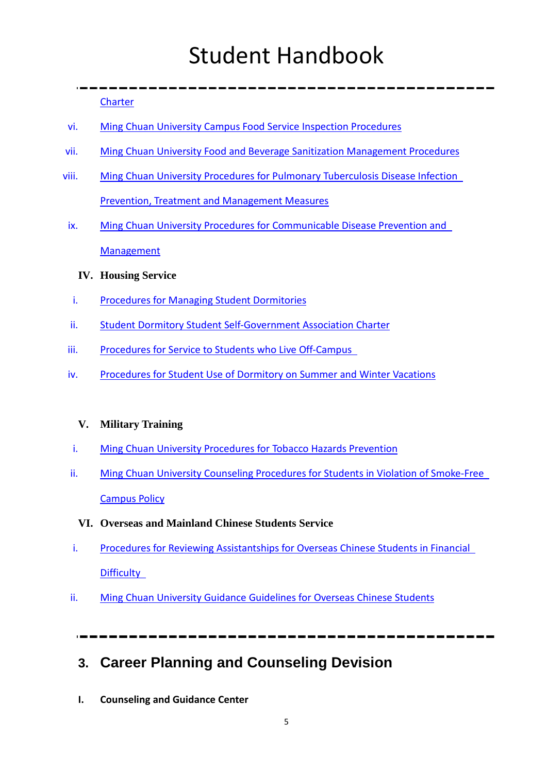**[Charter](http://student.mcu.edu.tw/old/sites/default/files/u3/%E9%99%84%E4%BB%B64-%E9%8A%98%E5%82%B3%E5%A4%A7%E5%AD%B8%E8%86%B3%E9%A3%9F%E7%9D%A3%E5%B0%8E%E5%A7%94%E5%93%A1%E6%9C%83%E7%B5%84%E7%B9%94%E7%AB%A0%E7%A8%8B%E7%B0%BD%E5%91%88%28%E8%8B%B1%E6%96%87%E7%89%88%29%20.doc)** 

- vi. [Ming Chuan University Campus Food Service Inspection Procedures](http://student.mcu.edu.tw/old/sites/default/files/u3/%E9%99%84%E4%BB%B65-%E9%8A%98%E5%82%B3%E5%A4%A7%E5%AD%B8%E8%86%B3%E9%A3%9F%E5%A7%94%E5%93%A1%E7%9D%A3%E5%B0%8E%E5%AF%A6%E6%96%BD%E8%BE%A6%E6%B3%95%28%E8%8B%B1%E6%96%87%E7%89%88%29%20.doc)
- vii. [Ming Chuan University Food and Beverage Sanitization Management Procedures](http://student.mcu.edu.tw/old/sites/default/files/u3/%E9%99%84%E4%BB%B66-%E9%8A%98%E5%82%B3%E5%A4%A7%E5%AD%B8%E9%A4%90%E9%A3%B2%E8%A1%9B%E7%94%9F%E7%AE%A1%E7%90%86%E5%AF%A6%E6%96%BD%E8%BE%A6%E6%B3%95%28%E8%8B%B1%E6%96%87%E7%89%88%29.docx)
- viii. [Ming Chuan University Procedures for Pulmonary Tuberculosis Disease Infection](http://student.mcu.edu.tw/old/sites/default/files/u3/Ming%20Chuan%20University%20Procedures%20for%20Pulmonary%20Tuberculosis%20Disease%20Infection%20Prevention%2C%20Treatment%20and%20Management%20Measures.pdf)  [Prevention, Treatment and Management Measures](http://student.mcu.edu.tw/old/sites/default/files/u3/Ming%20Chuan%20University%20Procedures%20for%20Pulmonary%20Tuberculosis%20Disease%20Infection%20Prevention%2C%20Treatment%20and%20Management%20Measures.pdf)
- ix. [Ming Chuan University Procedures for Communicable Disease Prevention and](http://student.mcu.edu.tw/old/sites/default/files/u3/%E9%99%84%E4%BB%B62_%E8%8B%B1%E6%96%87%E7%89%88_Fina_%E9%8A%98%E5%82%B3%E5%A4%A7%E5%AD%B8%E5%82%B3%E6%9F%93%E7%97%85%E9%98%B2%E6%B2%BB%E8%88%87%E7%AE%A1%E7%90%86%E8%BE%A6%E6%B3%95%28%E5%85%AC%E5%91%8A%E8%8B%B1%E6%96%87%E7%89%88%29.pdf)  **[Management](http://student.mcu.edu.tw/old/sites/default/files/u3/%E9%99%84%E4%BB%B62_%E8%8B%B1%E6%96%87%E7%89%88_Fina_%E9%8A%98%E5%82%B3%E5%A4%A7%E5%AD%B8%E5%82%B3%E6%9F%93%E7%97%85%E9%98%B2%E6%B2%BB%E8%88%87%E7%AE%A1%E7%90%86%E8%BE%A6%E6%B3%95%28%E5%85%AC%E5%91%8A%E8%8B%B1%E6%96%87%E7%89%88%29.pdf)** 
	- **IV. Housing Service**
- i. [Procedures for Managing Student Dormitories](http://student.mcu.edu.tw/old/sites/default/files/u3/%E5%AD%B8%E7%94%9F%E5%AE%BF%E8%88%8D%E7%AE%A1%E7%90%86%E8%BE%A6%E6%B3%95-%E8%8B%B1%E6%96%87104.02.06%E4%BF%AE%E6%AD%A3%E7%89%88%28.pdf)
- ii. [Student Dormitory Student Self-Government Association Charter](http://student.mcu.edu.tw/old/sites/default/files/u3/3.%20Student%20Dormitory%20Student%20Self-government%20Association%20Charter-%E5%AD%B8%E7%94%9F%E5%AE%BF%E8%88%8D%E5%AD%B8%E7%94%9F%E8%87%AA%E6%B2%BB%E5%8D%94%E6%9C%83%E7%AB%A0%E7%A8%8B.pdf)
- iii. [Procedures for Service to Students who Live Off-Campus](http://student.mcu.edu.tw/old/sites/default/files/u3/4.%20Procedures%20for%20Service%20to%20Students%20who%20Live%20Off-Campus-%E8%B3%83%E5%B1%85%E7%94%9F%E6%9C%8D%E5%8B%99%E5%AF%A6%E6%96%BD%E8%BE%A6%E6%B3%95.pdf)
- iv. [Procedures for Student Use of Dormitory on Summer and Winter Vacations](http://student.mcu.edu.tw/old/sites/default/files/u3/4.%20Procedures%20for%20Service%20to%20Students%20who%20Live%20Off-Campus-%E8%B3%83%E5%B1%85%E7%94%9F%E6%9C%8D%E5%8B%99%E5%AF%A6%E6%96%BD%E8%BE%A6%E6%B3%95.pdf)

#### **V. Military Training**

- i. [Ming Chuan University Procedures for Tobacco Hazards Prevention](http://student.mcu.edu.tw/old/sites/default/files/u3/rules/MTO/Procedures%20for%20Tobacco%20Hazards%20Prevention.pdf)
- ii. [Ming Chuan University Counseling Procedures for Students in Violation of Smoke-Free](http://student.mcu.edu.tw/old/sites/default/files/u3/rules/MTO/Counseling%20Procedures%20for%20Students%20in%20Violation%20of%20Smoke-Free%20Campus%20Policy.pdf)  [Campus Policy](http://student.mcu.edu.tw/old/sites/default/files/u3/rules/MTO/Counseling%20Procedures%20for%20Students%20in%20Violation%20of%20Smoke-Free%20Campus%20Policy.pdf)
	- **VI. Overseas and Mainland Chinese Students Service**
- i. [Procedures for Reviewing Assistantships for Overseas Chinese Students in Financial](http://student.mcu.edu.tw/old/sites/default/files/u3/%E8%8B%B1%E6%96%87%E7%89%88%20%E9%8A%98%E5%82%B3%E5%A4%A7%E5%AD%B8%E6%B8%85%E5%AF%92%E5%83%91%E7%94%9F%E5%8A%A9%E5%AD%B8%E9%87%91%E5%AF%A9%E6%9F%A5%E8%BE%A6%E6%B3%95_0.pdf)  **[Difficulty](http://student.mcu.edu.tw/old/sites/default/files/u3/%E8%8B%B1%E6%96%87%E7%89%88%20%E9%8A%98%E5%82%B3%E5%A4%A7%E5%AD%B8%E6%B8%85%E5%AF%92%E5%83%91%E7%94%9F%E5%8A%A9%E5%AD%B8%E9%87%91%E5%AF%A9%E6%9F%A5%E8%BE%A6%E6%B3%95_0.pdf)**
- ii. Ming Chuan University Guidance Guidelines for Overseas Chinese Students

**3. Career Planning and Counseling Devision**

**I. Counseling and Guidance Center**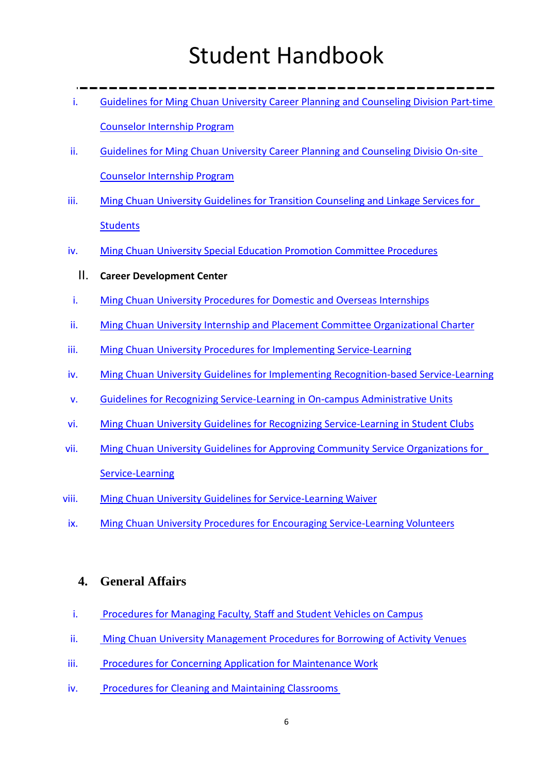- i. [Guidelines for Ming Chuan University Career Planning and](http://cpc.mcu.edu.tw/sites/default/files/u3/%E9%8A%98%E5%82%B3%E5%A4%A7%E5%AD%B8%E5%89%8D%E7%A8%8B%E8%A6%8F%E5%8A%83%E8%99%95%E5%85%BC%E8%81%B7%E5%AF%A6%E7%BF%92%E8%AB%AE%E5%95%86%E5%B8%AB%E5%AF%A6%E7%BF%92%E8%A6%81%E9%BB%9E%28%E8%8B%B1%E6%96%87%E7%89%88%29.pdf) Counseling Division Part-time [Counselor Internship Program](http://cpc.mcu.edu.tw/sites/default/files/u3/%E9%8A%98%E5%82%B3%E5%A4%A7%E5%AD%B8%E5%89%8D%E7%A8%8B%E8%A6%8F%E5%8A%83%E8%99%95%E5%85%BC%E8%81%B7%E5%AF%A6%E7%BF%92%E8%AB%AE%E5%95%86%E5%B8%AB%E5%AF%A6%E7%BF%92%E8%A6%81%E9%BB%9E%28%E8%8B%B1%E6%96%87%E7%89%88%29.pdf)
- ii. [Guidelines for Ming Chuan University Career Planning and Counseling Divisio](http://cpc.mcu.edu.tw/sites/default/files/u3/%E9%8A%98%E5%82%B3%E5%A4%A7%E5%AD%B8%E5%89%8D%E7%A8%8B%E8%A6%8F%E5%8A%83%E8%99%95%E9%A7%90%E5%9C%B0%E5%AF%A6%E7%BF%92%E8%AB%AE%E5%95%86%E5%B8%AB%E5%AF%A6%E7%BF%92%E8%A6%81%E9%BB%9E%28%E8%8B%B1%E6%96%87%E7%89%88%29.pdf) On-site [Counselor Internship Program](http://cpc.mcu.edu.tw/sites/default/files/u3/%E9%8A%98%E5%82%B3%E5%A4%A7%E5%AD%B8%E5%89%8D%E7%A8%8B%E8%A6%8F%E5%8A%83%E8%99%95%E9%A7%90%E5%9C%B0%E5%AF%A6%E7%BF%92%E8%AB%AE%E5%95%86%E5%B8%AB%E5%AF%A6%E7%BF%92%E8%A6%81%E9%BB%9E%28%E8%8B%B1%E6%96%87%E7%89%88%29.pdf)
- iii. [Ming Chuan University Guidelines for Transition Counseling and Linkage Services for](http://cpc.mcu.edu.tw/sites/default/files/u3/171226Web%E8%8B%B1%E6%96%87_MCU%E5%AD%B8%E7%94%9F%E8%BD%89%E9%8A%9C%E8%BC%94%E5%B0%8E%E5%8F%8A%E6%9C%8D%E5%8B%99%E8%A6%81%E9%BB%9E.pdf)  **[Students](http://cpc.mcu.edu.tw/sites/default/files/u3/171226Web%E8%8B%B1%E6%96%87_MCU%E5%AD%B8%E7%94%9F%E8%BD%89%E9%8A%9C%E8%BC%94%E5%B0%8E%E5%8F%8A%E6%9C%8D%E5%8B%99%E8%A6%81%E9%BB%9E.pdf)**
- iv. [Ming Chuan University Special Education Promotion Committee Procedures](http://cpc.mcu.edu.tw/sites/default/files/u3/%E5%89%8D%E7%A8%8B%E8%A6%8F%E5%8A%83%E6%B3%95%E8%A6%8F09%28%E9%8A%98%E5%82%B3%E5%A4%A7%E5%AD%B8%E7%89%B9%E6%AE%8A%E6%95%99%E8%82%B2%E6%8E%A8%E8%A1%8C%E5%A7%94%E5%93%A1%E6%9C%83%E8%A8%AD%E7%BD%AE%E8%BE%A6%E6%B3%95%29%28%E8%8B%B1%29.pdf)
	- II. **Career Development Center**
- i. [Ming Chuan University Procedures for Domestic and Overseas Internships](http://cpc.mcu.edu.tw/sites/default/files/u3/%E5%89%8D%E7%A8%8B%E8%A6%8F%E5%8A%83%E6%B3%95%E8%A6%8F07%28%E9%8A%98%E5%82%B3%E5%A4%A7%E5%AD%B8%E5%AF%A6%E7%BF%92%E8%88%87%E5%B0%B1%E6%A5%AD%E8%BC%94%E5%B0%8E%E5%A7%94%E5%93%A1%E6%9C%83%E7%B5%84%E7%B9%94%E7%AB%A0%E7%A8%8B%29%28%E8%8B%B1%29.docx.pdf)
- ii. [Ming Chuan University Internship and Placement Committee Organizational Charter](http://cpc.mcu.edu.tw/sites/default/files/u3/%E9%8A%98%E5%82%B3%E5%A4%A7%E5%AD%B8%E5%AF%A6%E7%BF%92%E8%88%87%E5%B0%B1%E6%A5%AD%E8%BC%94%E5%B0%8E%E5%A7%94%E5%93%A1%E6%9C%83%E7%B5%84%E7%B9%94%E7%AB%A0%E7%A8%8B%28%E8%8B%B1%E6%96%87%E7%89%88%29.pdf)
- iii. [Ming Chuan University Procedures for Implementing Service-Learning](http://cpc.mcu.edu.tw/sites/default/files/u3/%E9%8A%98%E5%82%B3%E5%A4%A7%E5%AD%B8%E6%9C%8D%E5%8B%99%E5%AD%B8%E7%BF%92%E5%AF%A6%E6%96%BD%E8%BE%A6%E6%B3%95%28103%E5%B9%B45%E6%9C%8826%E6%97%A5%E6%A0%A1%E5%8B%99%E6%9C%83%E8%AD%B0%E9%80%9A%E9%81%8E%29_%E9%9B%99%E8%AA%9E%E7%89%88E%26C.pdf)
- iv. [Ming Chuan University Guidelines for Implementing Recognition-based Service-Learning](http://cpc.mcu.edu.tw/sites/default/files/u3/%E9%8A%98%E5%82%B3%E5%A4%A7%E5%AD%B8%E8%AA%8D%E8%AD%89%E5%9E%8B%E6%9C%8D%E5%8B%99%E5%AD%B8%E7%BF%92%E5%AF%A6%E6%96%BD%E8%A6%81%E9%BB%9E%28103%E5%B9%B46%E6%9C%889%E6%97%A5%E8%A1%8C%E6%94%BF%E6%9C%83%E8%AD%B0%E9%80%9A%E9%81%8E%29_%E9%9B%99%E8%AA%9E%E7%89%88E%26C.pdf)
- v. [Guidelines for Recognizing Service-Learning in On-campus Administrative Units](http://cpc.mcu.edu.tw/sites/default/files/u3/%E9%8A%98%E5%82%B3%E5%A4%A7%E5%AD%B8%E6%9C%8D%E5%8B%99%E5%AD%B8%E7%BF%92%E6%A0%A1%E5%85%A7%E8%A1%8C%E6%94%BF%E5%96%AE%E4%BD%8D%E8%AA%8D%E8%AD%89%E4%BD%9C%E6%A5%AD%E8%A6%81%E9%BB%9E%28103%E5%B9%B46%E6%9C%889%E6%97%A5%E8%A1%8C%E6%94%BF%E6%9C%83%E8%AD%B0%E9%80%9A%E9%81%8E%29_%E9%9B%99%E8%AA%9E%E7%89%88E%26C.pdf)
- vi. [Ming Chuan University Guidelines for Recognizing Service-Learning in Student Clubs](http://cpc.mcu.edu.tw/sites/default/files/u3/%E9%8A%98%E5%82%B3%E5%A4%A7%E5%AD%B8%E6%9C%8D%E5%8B%99%E5%AD%B8%E7%BF%92%E7%A4%BE%E5%9C%98%E8%AA%8D%E8%AD%89%E4%BD%9C%E6%A5%AD%E8%A6%81%E9%BB%9E%28104%E5%B9%B46%E6%9C%881%E6%97%A5%E8%A1%8C%E6%94%BF%E6%9C%83%E8%AD%B0%E9%80%9A%E9%81%8E%29_%E9%9B%99%E8%AA%9E%E7%89%88E%26C.pdf)
- vii. [Ming Chuan University Guidelines for Approving Community Service Organizations for](http://cpc.mcu.edu.tw/sites/default/files/u3/%E9%8A%98%E5%82%B3%E5%A4%A7%E5%AD%B8%E6%9C%8D%E5%8B%99%E5%AD%B8%E7%BF%92%E7%A4%BE%E5%8D%80%E6%9C%8D%E5%8B%99%E6%A9%9F%E6%A7%8B%E8%AA%8D%E8%AD%89%E4%BD%9C%E6%A5%AD%E8%A6%81%E9%BB%9E%28103%E5%B9%B46%E6%9C%889%E6%97%A5%E8%A1%8C%E6%94%BF%E6%9C%83%E8%AD%B0%E9%80%9A%E9%81%8E%29_%E9%9B%99%E8%AA%9E%E7%89%88E%26C.pdf)  [Service-Learning](http://cpc.mcu.edu.tw/sites/default/files/u3/%E9%8A%98%E5%82%B3%E5%A4%A7%E5%AD%B8%E6%9C%8D%E5%8B%99%E5%AD%B8%E7%BF%92%E7%A4%BE%E5%8D%80%E6%9C%8D%E5%8B%99%E6%A9%9F%E6%A7%8B%E8%AA%8D%E8%AD%89%E4%BD%9C%E6%A5%AD%E8%A6%81%E9%BB%9E%28103%E5%B9%B46%E6%9C%889%E6%97%A5%E8%A1%8C%E6%94%BF%E6%9C%83%E8%AD%B0%E9%80%9A%E9%81%8E%29_%E9%9B%99%E8%AA%9E%E7%89%88E%26C.pdf)
- viii. [Ming Chuan University Guidelines for Service-Learning Waiver](http://cpc.mcu.edu.tw/sites/default/files/u3/%E9%8A%98%E5%82%B3%E5%A4%A7%E5%AD%B8%E6%9C%8D%E5%8B%99%E5%AD%B8%E7%BF%92%E5%85%8D%E5%AF%A6%E4%BD%9C%E6%9C%8D%E5%8B%99%E5%AF%A6%E6%96%BD%E8%A6%81%E9%BB%9E%28103%E5%B9%B46%E6%9C%889%E6%97%A5%E8%A1%8C%E6%94%BF%E6%9C%83%E8%AD%B0%E9%80%9A%E9%81%8E%29_%E9%9B%99%E8%AA%9E%E7%89%88E%26C.pdf)
- ix. [Ming Chuan University Procedures for Encouraging Service-Learning Volunteers](http://cpc.mcu.edu.tw/sites/default/files/u3/%E9%8A%98%E5%82%B3%E5%A4%A7%E5%AD%B8%E6%9C%8D%E5%8B%99%E5%AD%B8%E7%BF%92%E5%BF%97%E5%B7%A5%E7%8D%8E%E5%8B%B5%E8%BE%A6%E6%B3%95%28104%E5%B9%B46%E6%9C%881%E6%97%A5%E7%B6%93%E8%A1%8C%E6%94%BF%E6%9C%83%E8%AD%B0%E4%BF%AE%E6%AD%A3%E5%BE%8C%E9%80%9A%E9%81%8E%29_%E9%9B%99%E8%AA%9E%E7%89%88E%26C.pdf)

#### **4. General Affairs**

- i. [Procedures for Managing Faculty, Staff and Student Vehicles on Campus](http://gad.mcu.edu.tw/sites/default/files/MCU/%E9%8A%98%E5%82%B3%E5%A4%A7%E5%AD%B8%E6%95%99%E8%81%B7%E5%93%A1%E5%B7%A5%E7%94%9F%E6%A0%A1%E5%8D%80%E6%B1%BD%E3%80%81%E6%A9%9F%E8%BB%8A%E8%BB%8A%E8%BC%9B%E7%AE%A1%E7%90%86%E8%BE%A6%E6%B3%95%28%E8%8B%B1%E6%96%87%E7%89%88%29.pdf)
- ii. [Ming Chuan University Management Procedures for Borrowing of Activity Venues](http://gad.mcu.edu.tw/sites/default/files/MCU/%E9%8A%98%E5%82%B3%E5%A4%A7%E5%AD%B8%E6%B4%BB%E5%8B%95%E5%A0%B4%E5%9C%B0%E5%80%9F%E7%94%A8%E7%AE%A1%E7%90%86%E8%BE%A6%E6%B3%95%28%E8%8B%B1%E6%96%87%E7%89%88%29.pdf)
- iii. [Procedures for Concerning Application for Maintenance Work](http://gad.mcu.edu.tw/sites/default/files/MCU/%E9%8A%98%E5%82%B3%E5%A4%A7%E5%AD%B8%E4%BF%AE%E7%B9%95%E7%94%B3%E8%AB%8B%E8%BE%A6%E6%B3%95%28%E8%8B%B1%E6%96%87%E7%89%88%29.pdf)
- iv. [Procedures for Cleaning and Maintaining Classrooms](http://gad.mcu.edu.tw/sites/default/files/MCU/%E9%8A%98%E5%82%B3%E5%A4%A7%E5%AD%B8%E6%95%99%E5%AE%A4%E6%B8%85%E6%BD%94%E7%B6%AD%E8%AD%B7%E5%AF%A6%E6%96%BD%E8%BE%A6%E6%B3%95%28%E8%8B%B1%E6%96%87%E7%89%88%29.pdf)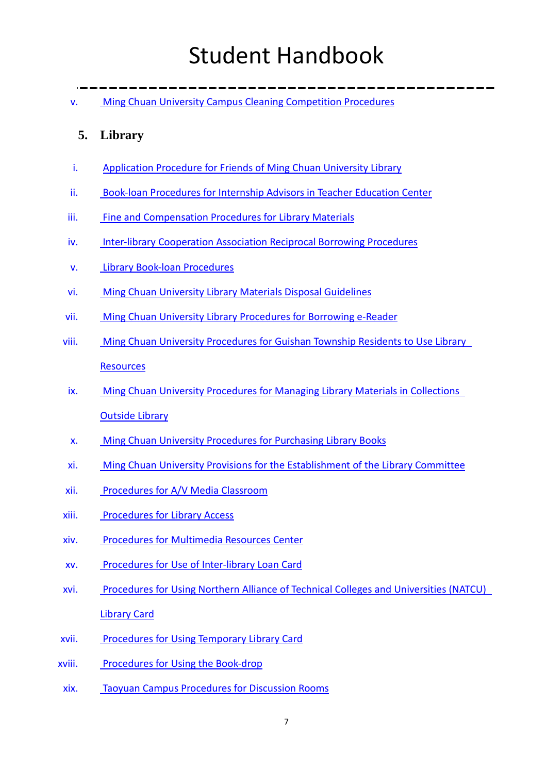v. [Ming Chuan University Campus Cleaning Competition Procedures](http://gad.mcu.edu.tw/sites/default/files/MCU/%E9%8A%98%E5%82%B3%E5%A4%A7%E5%AD%B8%E6%A0%A1%E5%9C%92%E6%95%B4%E6%BD%94%E6%AF%94%E8%B3%BD%E5%AF%A6%E6%96%BD%E8%BE%A6%E6%B3%95%28%E8%8B%B1%E6%96%87%E7%89%88%29.pdf)

### **5. Library**

- i. [Application Procedure for Friends of Ming Chuan University Library](http://library.mcu.edu.tw/sites/default/files/u3/rule/APF.pdf)
- ii. [Book-loan Procedures for Internship Advisors in Teacher Education Center](http://library.mcu.edu.tw/sites/default/files/u3/rule/BIPIATEC.pdf)
- iii. [Fine and Compensation Procedures for Library Materials](http://library.mcu.edu.tw/sites/default/files/u3/rule/FCP.pdf)
- iv. [Inter-library Cooperation Association Reciprocal Borrowing Procedures](http://library.mcu.edu.tw/sites/default/files/u3/rule/ICARBP.pdf)
- v. [Library Book-loan Procedures](http://library.mcu.edu.tw/sites/default/files/u3/rule/LBLP.pdf)
- vi. [Ming Chuan University Library Materials Disposal Guidelines](http://library.mcu.edu.tw/sites/default/files/u3/rule/MDG.pdf)
- vii. [Ming Chuan University Library Procedures for Borrowing e-Reader](http://library.mcu.edu.tw/sites/default/files/u3/rule/PBE.pdf)
- viii. [Ming Chuan University Procedures for Guishan Township Residents to Use Library](http://library.mcu.edu.tw/sites/default/files/u3/rule/GTRULR.pdf)  **[Resources](http://library.mcu.edu.tw/sites/default/files/u3/rule/GTRULR.pdf)**
- ix. [Ming Chuan University Procedures for Managing Library Materials in Collections](http://library.mcu.edu.tw/sites/default/files/u3/rule/MLMCOL.pdf)  [Outside Library](http://library.mcu.edu.tw/sites/default/files/u3/rule/MLMCOL.pdf)
- x. [Ming Chuan University Procedures for Purchasing Library Books](http://library.mcu.edu.tw/sites/default/files/u3/rule/PLB.pdf)
- xi. [Ming Chuan University Provisions for the Establishment of the Library Committee](http://library.mcu.edu.tw/sites/default/files/u3/rule/ELC.pdf)
- xii. [Procedures for A/V Media Classroom](http://library.mcu.edu.tw/sites/default/files/u3/rule/PAMC.pdf)
- xiii. [Procedures for Library Access](http://library.mcu.edu.tw/sites/default/files/u3/rule/PLA.pdf)
- xiv. [Procedures for Multimedia Resources Center](http://library.mcu.edu.tw/sites/default/files/u3/rule/PMRC.pdf)
- xv. [Procedures for Use of Inter-library Loan Card](http://library.mcu.edu.tw/sites/default/files/u3/rule/UILC.pdf)
- xvi. [Procedures for Using Northern Alliance of Technical Colleges and Universities \(NATCU\)](http://library.mcu.edu.tw/sites/default/files/u3/rule/NATCU.pdf)  [Library Card](http://library.mcu.edu.tw/sites/default/files/u3/rule/NATCU.pdf)
- xvii. [Procedures for Using Temporary Library Card](http://library.mcu.edu.tw/sites/default/files/u3/rule/PUTLC.pdf)
- xviii. [Procedures for Using the Book-drop](http://library.mcu.edu.tw/sites/default/files/u3/rule/UBD.pdf)
- xix. [Taoyuan Campus Procedures for Discussion Rooms](http://library.mcu.edu.tw/sites/default/files/u3/rule/TCPDR.pdf)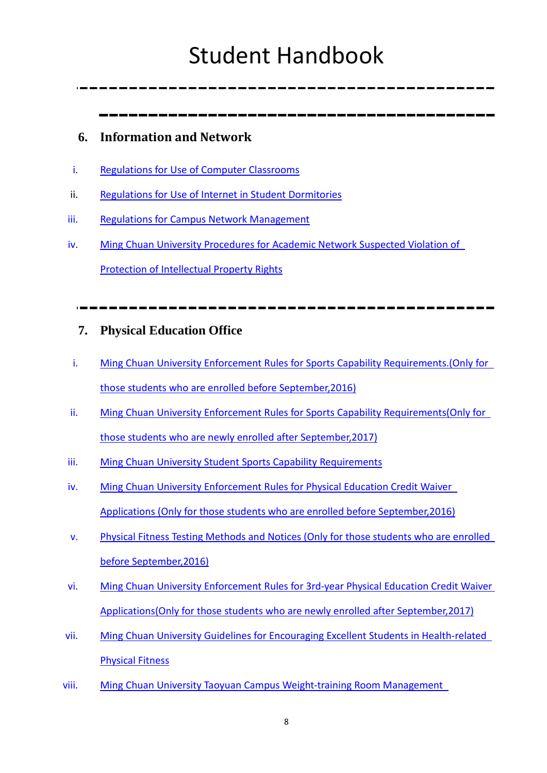### **6. Information and Network**

- i. [Regulations for Use of Computer Classrooms](http://infonet.mcu.edu.tw/sites/default/files/MCU/Regulations%20For%20Use%20Of%20Computer%20Classrooms.pdf)
- ii. [Regulations for Use of Internet in Student Dormitories](http://infonet.mcu.edu.tw/sites/default/files/MCU/Regulations_for_Use_of_Internet_in_Student_Dormitories.pdf)
- iii. [Regulations for Campus Network Management](http://infonet.mcu.edu.tw/sites/default/files/MCU/Regulations_for_Campus_Network_Management.pdf)
- iv. [Ming Chuan University Procedures for Academic Network Suspected Violation of](http://infonet.mcu.edu.tw/sites/default/files/MCU/Procedures%20for%20Academic%20Network%20Suspected%20Violation%20of%20Protection%20of%20Intellectual%20Property%20Rights.pdf)  [Protection of Intellectual Property Rights](http://infonet.mcu.edu.tw/sites/default/files/MCU/Procedures%20for%20Academic%20Network%20Suspected%20Violation%20of%20Protection%20of%20Intellectual%20Property%20Rights.pdf)

### **7. Physical Education Office**

- i. Ming Chuan University Enforcement Rules for Sports Capability Requirements.(Only for [those students who are enrolled before September,2016\)](http://physical.mcu.edu.tw/sites/default/files/MCU/Ming%20Chuan%20University%20Enforcement%20Rules%20for%20Sports%20Capability%20Requirements.%28Only%20for%20those%20students%20who%20are%20enrolled%20before%20September%2C2016%29.pdf)
- ii. Ming Chuan University Enforcement Rules for Sports Capability Requirements(Only for [those students who are newly enrolled after September,2017\)](http://physical.mcu.edu.tw/sites/default/files/MCU/Ming%20Chuan%20University%20Enforcement%20Rules%20for%20Sports%20Capability%20Requirements%28Only%20for%20those%20students%20who%20are%20newly%20enrolled%20after%20September%2C2017%29.pdf)
- iii. [Ming Chuan University Student Sports Capability Requirements](http://physical.mcu.edu.tw/sites/default/files/MCU/Ming%20Chuan%20University%20Student%20Sports%20Capability%20Requirements_pdf.pdf)
- iv. [Ming Chuan University Enforcement Rules for Physical Education Credit Waiver](http://physical.mcu.edu.tw/sites/default/files/MCU/%E6%9B%B4%E6%96%B0%E7%89%88--%E8%8B%B1%E6%96%87%E7%89%88%E9%8A%98%E5%82%B3%E5%A4%A7%E5%AD%B8%E5%AD%B8%E7%94%9F%E7%94%B3%E8%AB%8B%E5%85%8D%E4%BF%AE%E9%AB%94%E8%82%B2%E8%AA%B2%E5%AF%A6%E6%96%BD%E7%B4%B0%E5%89%87%20%28Only%20for%20those%20students%20who%20are%20enrolled%20before%20September%2C2016%29.pdf)  [Applications \(Only for those students who are enrolled before September,2016\)](http://physical.mcu.edu.tw/sites/default/files/MCU/%E6%9B%B4%E6%96%B0%E7%89%88--%E8%8B%B1%E6%96%87%E7%89%88%E9%8A%98%E5%82%B3%E5%A4%A7%E5%AD%B8%E5%AD%B8%E7%94%9F%E7%94%B3%E8%AB%8B%E5%85%8D%E4%BF%AE%E9%AB%94%E8%82%B2%E8%AA%B2%E5%AF%A6%E6%96%BD%E7%B4%B0%E5%89%87%20%28Only%20for%20those%20students%20who%20are%20enrolled%20before%20September%2C2016%29.pdf)
- v. [Physical Fitness Testing Methods and Notices \(Only for those students who are enrolled](http://physical.mcu.edu.tw/sites/default/files/MCU/Physical%20Fitness%20Testing%20Methods%20and%20Notices_pdf.pdf)  [before September,2016\)](http://physical.mcu.edu.tw/sites/default/files/MCU/Physical%20Fitness%20Testing%20Methods%20and%20Notices_pdf.pdf)
- vi. [Ming Chuan University Enforcement Rules for 3rd-year Physical Education Credit Waiver](http://physical.mcu.edu.tw/sites/default/files/MCU/Ming%20Chuan%20University%20Enforcement%20Rules%20for%203rd-year%20Physical%20Education%20Credit%20Waiver%20Applications%28Only%20for%20those%20students%20who%20are%20newly%20enrolled%20after%20September%2C2017%29.pdf)  [Applications\(Only for those students who are newly enrolled after September,2017\)](http://physical.mcu.edu.tw/sites/default/files/MCU/Ming%20Chuan%20University%20Enforcement%20Rules%20for%203rd-year%20Physical%20Education%20Credit%20Waiver%20Applications%28Only%20for%20those%20students%20who%20are%20newly%20enrolled%20after%20September%2C2017%29.pdf)
- vii. [Ming Chuan University Guidelines for Encouraging Excellent Students in Health-related](http://physical.mcu.edu.tw/sites/default/files/MCU/Ming%20Chuan%20University%20Guidelines%20for%20Encouraging%20Excellent%20Students%20in%20Health-related%20Physical%20Fitness_pdf.pdf)  [Physical Fitness](http://physical.mcu.edu.tw/sites/default/files/MCU/Ming%20Chuan%20University%20Guidelines%20for%20Encouraging%20Excellent%20Students%20in%20Health-related%20Physical%20Fitness_pdf.pdf)
- viii. [Ming Chuan University Taoyuan Campus Weight-training Room Management](http://physical.mcu.edu.tw/sites/default/files/MCU/Ming%20Chuan%20University%20Taoyuan%20Campus%20Weight-training%20Room%20Management%20Procedures.pdf)